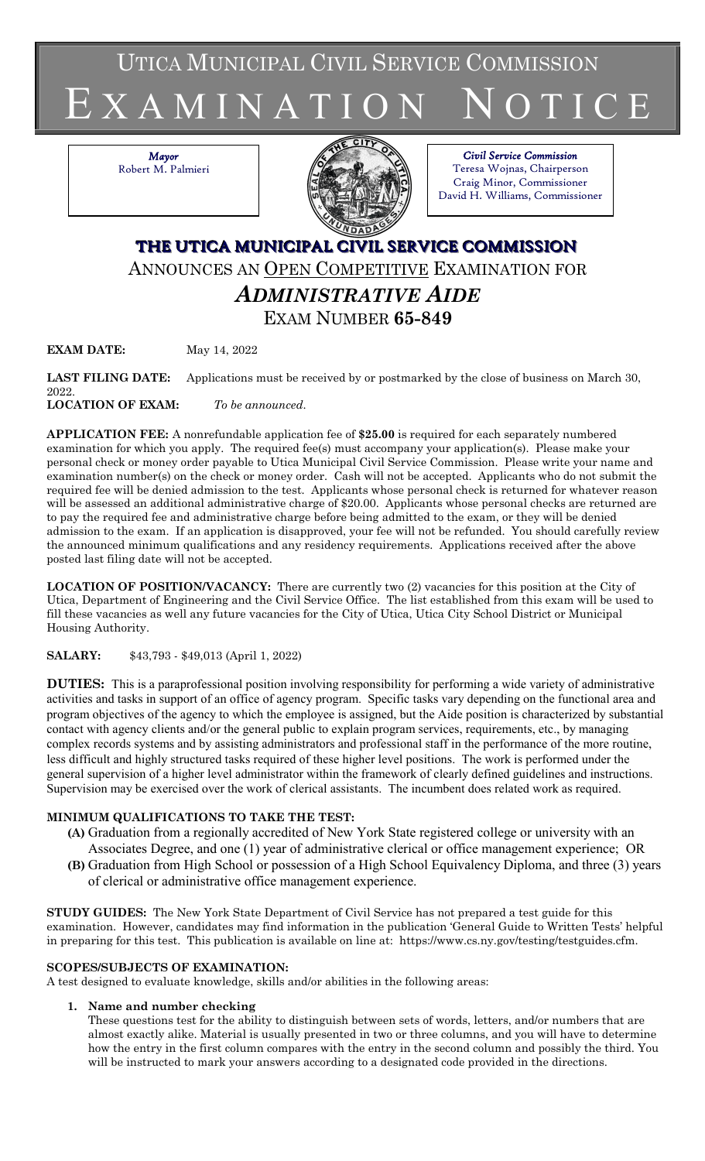UTICA MUNICIPAL CIVIL SERVICE COMMISSION

# E X A M I N A T I O N N O T I C E

*Mayor* Robert M. Palmieri



*Civil Service Commission* Teresa Wojnas, Chairperson Craig Minor, Commissioner David H. Williams, Commissioner

# **THE UTICA MUNICIPAL CIVIL SERVICE COMMISSION** ANNOUNCES AN OPEN COMPETITIVE EXAMINATION FOR *ADMINISTRATIVE AIDE* EXAM NUMBER **65-849**

**EXAM DATE:** May 14, 2022

**LAST FILING DATE:** Applications must be received by or postmarked by the close of business on March 30, 2022.

**LOCATION OF EXAM:** *To be announced*.

**APPLICATION FEE:** A nonrefundable application fee of **\$25.00** is required for each separately numbered examination for which you apply. The required fee(s) must accompany your application(s). Please make your personal check or money order payable to Utica Municipal Civil Service Commission. Please write your name and examination number(s) on the check or money order. Cash will not be accepted. Applicants who do not submit the required fee will be denied admission to the test. Applicants whose personal check is returned for whatever reason will be assessed an additional administrative charge of \$20.00. Applicants whose personal checks are returned are to pay the required fee and administrative charge before being admitted to the exam, or they will be denied admission to the exam. If an application is disapproved, your fee will not be refunded. You should carefully review the announced minimum qualifications and any residency requirements. Applications received after the above posted last filing date will not be accepted.

**LOCATION OF POSITION/VACANCY:** There are currently two (2) vacancies for this position at the City of Utica, Department of Engineering and the Civil Service Office. The list established from this exam will be used to fill these vacancies as well any future vacancies for the City of Utica, Utica City School District or Municipal Housing Authority.

# **SALARY:** \$43,793 - \$49,013 (April 1, 2022)

**DUTIES:** This is a paraprofessional position involving responsibility for performing a wide variety of administrative activities and tasks in support of an office of agency program. Specific tasks vary depending on the functional area and program objectives of the agency to which the employee is assigned, but the Aide position is characterized by substantial contact with agency clients and/or the general public to explain program services, requirements, etc., by managing complex records systems and by assisting administrators and professional staff in the performance of the more routine, less difficult and highly structured tasks required of these higher level positions. The work is performed under the general supervision of a higher level administrator within the framework of clearly defined guidelines and instructions. Supervision may be exercised over the work of clerical assistants. The incumbent does related work as required.

# **MINIMUM QUALIFICATIONS TO TAKE THE TEST:**

- **(A)** Graduation from a regionally accredited of New York State registered college or university with an Associates Degree, and one (1) year of administrative clerical or office management experience; OR
- **(B)** Graduation from High School or possession of a High School Equivalency Diploma, and three (3) years of clerical or administrative office management experience.

**STUDY GUIDES:** The New York State Department of Civil Service has not prepared a test guide for this examination. However, candidates may find information in the publication 'General Guide to Written Tests' helpful in preparing for this test. This publication is available on line at: https://www.cs.ny.gov/testing/testguides.cfm.

# **SCOPES/SUBJECTS OF EXAMINATION:**

A test designed to evaluate knowledge, skills and/or abilities in the following areas:

# **1. Name and number checking**

These questions test for the ability to distinguish between sets of words, letters, and/or numbers that are almost exactly alike. Material is usually presented in two or three columns, and you will have to determine how the entry in the first column compares with the entry in the second column and possibly the third. You will be instructed to mark your answers according to a designated code provided in the directions.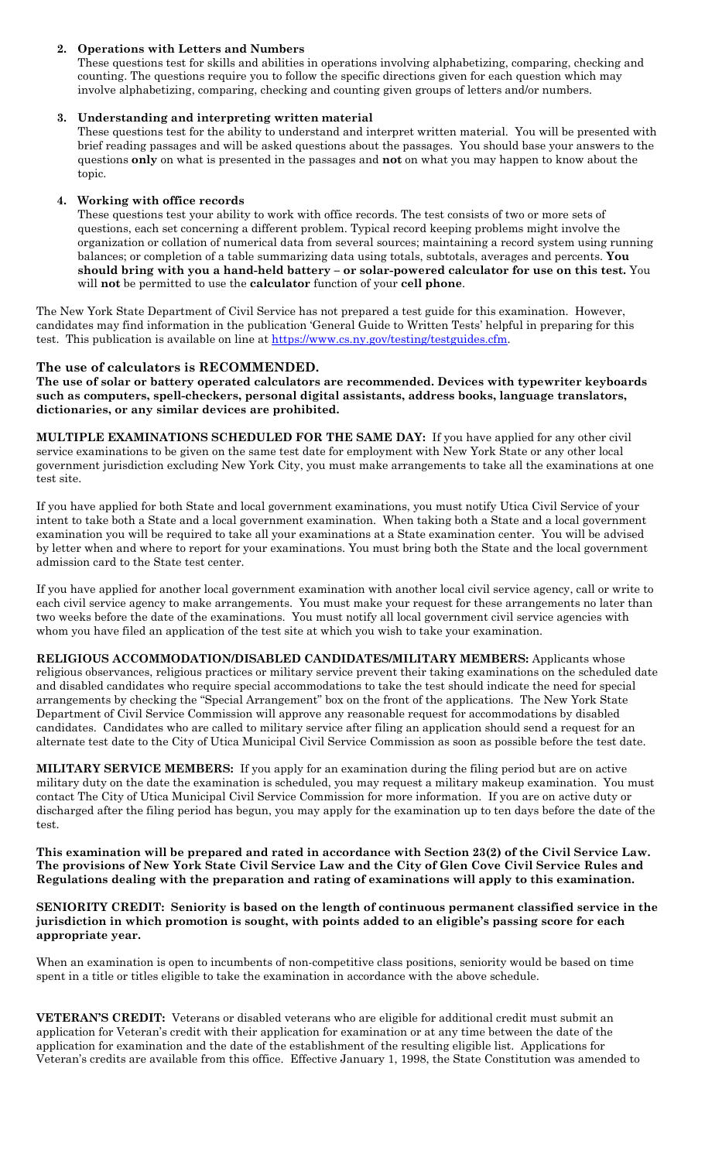### **2. Operations with Letters and Numbers**

These questions test for skills and abilities in operations involving alphabetizing, comparing, checking and counting. The questions require you to follow the specific directions given for each question which may involve alphabetizing, comparing, checking and counting given groups of letters and/or numbers.

#### **3. Understanding and interpreting written material**

These questions test for the ability to understand and interpret written material. You will be presented with brief reading passages and will be asked questions about the passages. You should base your answers to the questions **only** on what is presented in the passages and **not** on what you may happen to know about the topic.

#### **4. Working with office records**

These questions test your ability to work with office records. The test consists of two or more sets of questions, each set concerning a different problem. Typical record keeping problems might involve the organization or collation of numerical data from several sources; maintaining a record system using running balances; or completion of a table summarizing data using totals, subtotals, averages and percents. **You should bring with you a hand-held battery – or solar-powered calculator for use on this test.** You will **not** be permitted to use the **calculator** function of your **cell phone**.

The New York State Department of Civil Service has not prepared a test guide for this examination. However, candidates may find information in the publication 'General Guide to Written Tests' helpful in preparing for this test. This publication is available on line at [https://www.cs.ny.gov/testing/testguides.cfm.](https://www.cs.ny.gov/testing/testguides.cfm)

### **The use of calculators is RECOMMENDED.**

**The use of solar or battery operated calculators are recommended. Devices with typewriter keyboards such as computers, spell-checkers, personal digital assistants, address books, language translators, dictionaries, or any similar devices are prohibited.**

**MULTIPLE EXAMINATIONS SCHEDULED FOR THE SAME DAY:** If you have applied for any other civil service examinations to be given on the same test date for employment with New York State or any other local government jurisdiction excluding New York City, you must make arrangements to take all the examinations at one test site.

If you have applied for both State and local government examinations, you must notify Utica Civil Service of your intent to take both a State and a local government examination. When taking both a State and a local government examination you will be required to take all your examinations at a State examination center. You will be advised by letter when and where to report for your examinations. You must bring both the State and the local government admission card to the State test center.

If you have applied for another local government examination with another local civil service agency, call or write to each civil service agency to make arrangements. You must make your request for these arrangements no later than two weeks before the date of the examinations. You must notify all local government civil service agencies with whom you have filed an application of the test site at which you wish to take your examination.

**RELIGIOUS ACCOMMODATION/DISABLED CANDIDATES/MILITARY MEMBERS:** Applicants whose religious observances, religious practices or military service prevent their taking examinations on the scheduled date and disabled candidates who require special accommodations to take the test should indicate the need for special arrangements by checking the "Special Arrangement" box on the front of the applications. The New York State Department of Civil Service Commission will approve any reasonable request for accommodations by disabled candidates. Candidates who are called to military service after filing an application should send a request for an alternate test date to the City of Utica Municipal Civil Service Commission as soon as possible before the test date.

**MILITARY SERVICE MEMBERS:** If you apply for an examination during the filing period but are on active military duty on the date the examination is scheduled, you may request a military makeup examination. You must contact The City of Utica Municipal Civil Service Commission for more information. If you are on active duty or discharged after the filing period has begun, you may apply for the examination up to ten days before the date of the test.

**This examination will be prepared and rated in accordance with Section 23(2) of the Civil Service Law. The provisions of New York State Civil Service Law and the City of Glen Cove Civil Service Rules and Regulations dealing with the preparation and rating of examinations will apply to this examination.**

#### **SENIORITY CREDIT: Seniority is based on the length of continuous permanent classified service in the jurisdiction in which promotion is sought, with points added to an eligible's passing score for each appropriate year.**

When an examination is open to incumbents of non-competitive class positions, seniority would be based on time spent in a title or titles eligible to take the examination in accordance with the above schedule.

**VETERAN'S CREDIT:** Veterans or disabled veterans who are eligible for additional credit must submit an application for Veteran's credit with their application for examination or at any time between the date of the application for examination and the date of the establishment of the resulting eligible list. Applications for Veteran's credits are available from this office. Effective January 1, 1998, the State Constitution was amended to